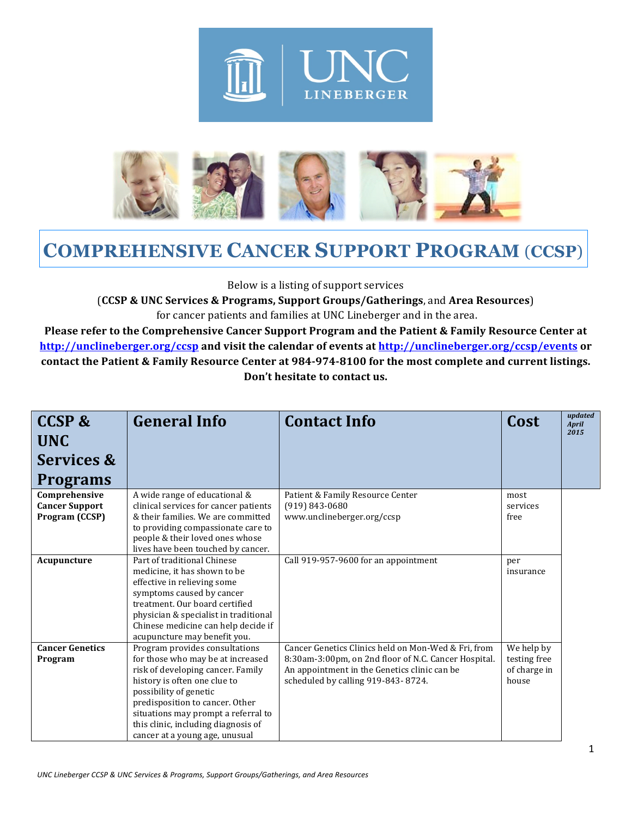



## **COMPREHENSIVE CANCER SUPPORT PROGRAM** (**CCSP**)

Below is a listing of support services

(**CCSP & UNC Services & Programs, Support Groups/Gatherings**, and **Area Resources**) for cancer patients and families at UNC Lineberger and in the area.

**Please refer to the Comprehensive Cancer Support Program and the Patient & Family Resource Center at** http://unclineberger.org/ccsp and visit the calendar of events at http://unclineberger.org/ccsp/events or contact the Patient & Family Resource Center at 984-974-8100 for the most complete and current listings. Don't hesitate to contact us.

| <b>CCSP &amp;</b>                                        | <b>General Info</b>                                                                                                                                                                                                                                                                                                   | <b>Contact Info</b>                                                                                                                                                                               | Cost                                                | updated<br><b>April</b> |
|----------------------------------------------------------|-----------------------------------------------------------------------------------------------------------------------------------------------------------------------------------------------------------------------------------------------------------------------------------------------------------------------|---------------------------------------------------------------------------------------------------------------------------------------------------------------------------------------------------|-----------------------------------------------------|-------------------------|
| <b>UNC</b>                                               |                                                                                                                                                                                                                                                                                                                       |                                                                                                                                                                                                   |                                                     | 2015                    |
| Services &                                               |                                                                                                                                                                                                                                                                                                                       |                                                                                                                                                                                                   |                                                     |                         |
| <b>Programs</b>                                          |                                                                                                                                                                                                                                                                                                                       |                                                                                                                                                                                                   |                                                     |                         |
| Comprehensive<br><b>Cancer Support</b><br>Program (CCSP) | A wide range of educational &<br>clinical services for cancer patients<br>& their families. We are committed<br>to providing compassionate care to<br>people & their loved ones whose<br>lives have been touched by cancer.                                                                                           | Patient & Family Resource Center<br>$(919) 843 - 0680$<br>www.unclineberger.org/ccsp                                                                                                              | most<br>services<br>free                            |                         |
| Acupuncture                                              | Part of traditional Chinese<br>medicine, it has shown to be<br>effective in relieving some<br>symptoms caused by cancer<br>treatment. Our board certified<br>physician & specialist in traditional<br>Chinese medicine can help decide if<br>acupuncture may benefit you.                                             | Call 919-957-9600 for an appointment                                                                                                                                                              | per<br>insurance                                    |                         |
| <b>Cancer Genetics</b><br>Program                        | Program provides consultations<br>for those who may be at increased<br>risk of developing cancer. Family<br>history is often one clue to<br>possibility of genetic<br>predisposition to cancer. Other<br>situations may prompt a referral to<br>this clinic, including diagnosis of<br>cancer at a young age, unusual | Cancer Genetics Clinics held on Mon-Wed & Fri, from<br>8:30am-3:00pm, on 2nd floor of N.C. Cancer Hospital.<br>An appointment in the Genetics clinic can be<br>scheduled by calling 919-843-8724. | We help by<br>testing free<br>of charge in<br>house |                         |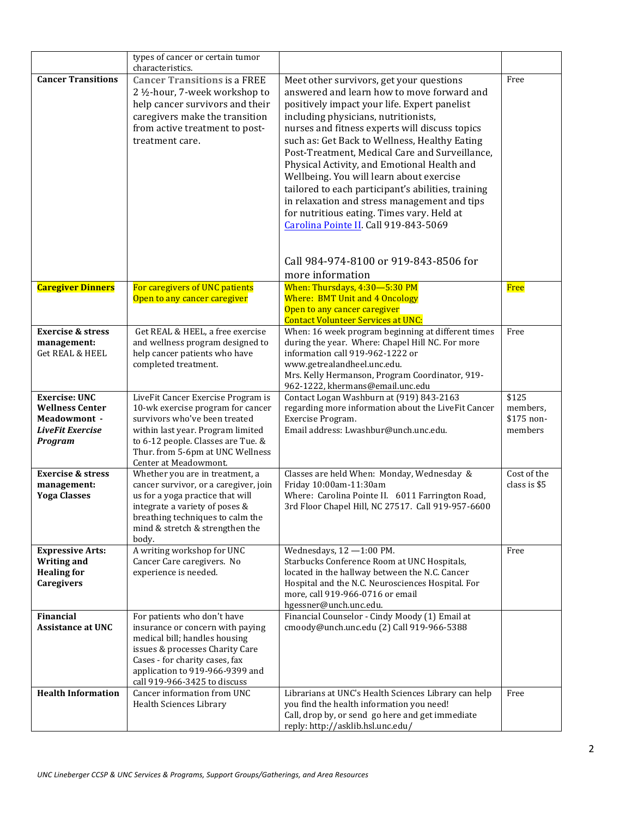|                                                                                                      | types of cancer or certain tumor<br>characteristics.                                                                                                                                                                                             |                                                                                                                                                                                                                                                                                                                                                                                                                                                                                                                                                                                                                                                                      |                                            |
|------------------------------------------------------------------------------------------------------|--------------------------------------------------------------------------------------------------------------------------------------------------------------------------------------------------------------------------------------------------|----------------------------------------------------------------------------------------------------------------------------------------------------------------------------------------------------------------------------------------------------------------------------------------------------------------------------------------------------------------------------------------------------------------------------------------------------------------------------------------------------------------------------------------------------------------------------------------------------------------------------------------------------------------------|--------------------------------------------|
| <b>Cancer Transitions</b>                                                                            | <b>Cancer Transitions is a FREE</b><br>2 1/2-hour, 7-week workshop to<br>help cancer survivors and their<br>caregivers make the transition<br>from active treatment to post-<br>treatment care.                                                  | Meet other survivors, get your questions<br>answered and learn how to move forward and<br>positively impact your life. Expert panelist<br>including physicians, nutritionists,<br>nurses and fitness experts will discuss topics<br>such as: Get Back to Wellness, Healthy Eating<br>Post-Treatment, Medical Care and Surveillance,<br>Physical Activity, and Emotional Health and<br>Wellbeing. You will learn about exercise<br>tailored to each participant's abilities, training<br>in relaxation and stress management and tips<br>for nutritious eating. Times vary. Held at<br>Carolina Pointe II. Call 919-843-5069<br>Call 984-974-8100 or 919-843-8506 for | Free                                       |
| <b>Caregiver Dinners</b>                                                                             | For caregivers of UNC patients<br>Open to any cancer caregiver                                                                                                                                                                                   | more information<br>When: Thursdays, 4:30-5:30 PM<br><b>Where: BMT Unit and 4 Oncology</b><br>Open to any cancer caregiver<br><b>Contact Volunteer Services at UNC:</b>                                                                                                                                                                                                                                                                                                                                                                                                                                                                                              | Free                                       |
| <b>Exercise &amp; stress</b><br>management:<br><b>Get REAL &amp; HEEL</b>                            | Get REAL & HEEL, a free exercise<br>and wellness program designed to<br>help cancer patients who have<br>completed treatment.                                                                                                                    | When: 16 week program beginning at different times<br>during the year. Where: Chapel Hill NC. For more<br>information call 919-962-1222 or<br>www.getrealandheel.unc.edu.<br>Mrs. Kelly Hermanson, Program Coordinator, 919-<br>962-1222, khermans@email.unc.edu                                                                                                                                                                                                                                                                                                                                                                                                     | Free                                       |
| <b>Exercise: UNC</b><br><b>Wellness Center</b><br><b>Meadowmont -</b><br>LiveFit Exercise<br>Program | LiveFit Cancer Exercise Program is<br>10-wk exercise program for cancer<br>survivors who've been treated<br>within last year. Program limited<br>to 6-12 people. Classes are Tue. &<br>Thur. from 5-6pm at UNC Wellness<br>Center at Meadowmont. | Contact Logan Washburn at (919) 843-2163<br>regarding more information about the LiveFit Cancer<br>Exercise Program.<br>Email address: Lwashbur@unch.unc.edu.                                                                                                                                                                                                                                                                                                                                                                                                                                                                                                        | \$125<br>members,<br>\$175 non-<br>members |
| <b>Exercise &amp; stress</b><br>management:<br><b>Yoga Classes</b>                                   | Whether you are in treatment, a<br>cancer survivor, or a caregiver, join<br>us for a yoga practice that will<br>integrate a variety of poses &<br>breathing techniques to calm the<br>mind & stretch & strengthen the<br>body.                   | Classes are held When: Monday, Wednesday &<br>Friday 10:00am-11:30am<br>Where: Carolina Pointe II. 6011 Farrington Road,<br>3rd Floor Chapel Hill, NC 27517. Call 919-957-6600                                                                                                                                                                                                                                                                                                                                                                                                                                                                                       | Cost of the<br>class is \$5                |
| <b>Expressive Arts:</b><br><b>Writing and</b><br><b>Healing for</b><br><b>Caregivers</b>             | A writing workshop for UNC<br>Cancer Care caregivers. No<br>experience is needed.                                                                                                                                                                | Wednesdays, $12 - 1:00$ PM.<br>Starbucks Conference Room at UNC Hospitals,<br>located in the hallway between the N.C. Cancer<br>Hospital and the N.C. Neurosciences Hospital. For<br>more, call 919-966-0716 or email<br>hgessner@unch.unc.edu.                                                                                                                                                                                                                                                                                                                                                                                                                      | Free                                       |
| <b>Financial</b><br><b>Assistance at UNC</b>                                                         | For patients who don't have<br>insurance or concern with paying<br>medical bill; handles housing<br>issues & processes Charity Care<br>Cases - for charity cases, fax<br>application to 919-966-9399 and<br>call 919-966-3425 to discuss         | Financial Counselor - Cindy Moody (1) Email at<br>cmoody@unch.unc.edu (2) Call 919-966-5388                                                                                                                                                                                                                                                                                                                                                                                                                                                                                                                                                                          |                                            |
| <b>Health Information</b>                                                                            | Cancer information from UNC<br>Health Sciences Library                                                                                                                                                                                           | Librarians at UNC's Health Sciences Library can help<br>you find the health information you need!<br>Call, drop by, or send go here and get immediate<br>reply: http://asklib.hsl.unc.edu/                                                                                                                                                                                                                                                                                                                                                                                                                                                                           | Free                                       |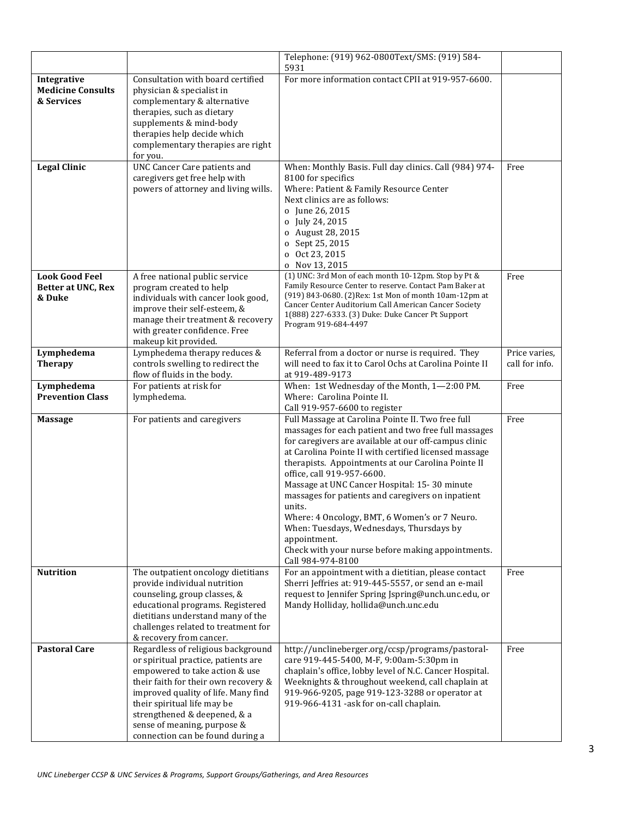|                                                       |                                                                                                                                                                                                                                                                                                                              | Telephone: (919) 962-0800Text/SMS: (919) 584-                                                                                                                                                                                                                                                                                                                                                                                                                                                                                                                                                                         |                                 |
|-------------------------------------------------------|------------------------------------------------------------------------------------------------------------------------------------------------------------------------------------------------------------------------------------------------------------------------------------------------------------------------------|-----------------------------------------------------------------------------------------------------------------------------------------------------------------------------------------------------------------------------------------------------------------------------------------------------------------------------------------------------------------------------------------------------------------------------------------------------------------------------------------------------------------------------------------------------------------------------------------------------------------------|---------------------------------|
| Integrative<br><b>Medicine Consults</b><br>& Services | Consultation with board certified<br>physician & specialist in<br>complementary & alternative<br>therapies, such as dietary<br>supplements & mind-body<br>therapies help decide which<br>complementary therapies are right<br>for you.                                                                                       | 5931<br>For more information contact CPII at 919-957-6600.                                                                                                                                                                                                                                                                                                                                                                                                                                                                                                                                                            |                                 |
| <b>Legal Clinic</b>                                   | UNC Cancer Care patients and<br>caregivers get free help with<br>powers of attorney and living wills.                                                                                                                                                                                                                        | When: Monthly Basis. Full day clinics. Call (984) 974-<br>8100 for specifics<br>Where: Patient & Family Resource Center<br>Next clinics are as follows:<br>o June 26, 2015<br>o July 24, 2015<br>o August 28, 2015<br>o Sept 25, 2015<br>o Oct 23, 2015<br>o Nov 13, 2015                                                                                                                                                                                                                                                                                                                                             | Free                            |
| <b>Look Good Feel</b><br>Better at UNC, Rex<br>& Duke | A free national public service<br>program created to help<br>individuals with cancer look good,<br>improve their self-esteem, &<br>manage their treatment & recovery<br>with greater confidence. Free<br>makeup kit provided.                                                                                                | (1) UNC: 3rd Mon of each month 10-12pm. Stop by Pt &<br>Family Resource Center to reserve. Contact Pam Baker at<br>(919) 843-0680. (2) Rex: 1st Mon of month 10am-12pm at<br>Cancer Center Auditorium Call American Cancer Society<br>1(888) 227-6333. (3) Duke: Duke Cancer Pt Support<br>Program 919-684-4497                                                                                                                                                                                                                                                                                                       | Free                            |
| Lymphedema<br><b>Therapy</b>                          | Lymphedema therapy reduces &<br>controls swelling to redirect the<br>flow of fluids in the body.                                                                                                                                                                                                                             | Referral from a doctor or nurse is required. They<br>will need to fax it to Carol Ochs at Carolina Pointe II<br>at 919-489-9173                                                                                                                                                                                                                                                                                                                                                                                                                                                                                       | Price varies,<br>call for info. |
| Lymphedema<br><b>Prevention Class</b>                 | For patients at risk for<br>lymphedema.                                                                                                                                                                                                                                                                                      | When: 1st Wednesday of the Month, 1-2:00 PM.<br>Where: Carolina Pointe II.<br>Call 919-957-6600 to register                                                                                                                                                                                                                                                                                                                                                                                                                                                                                                           | Free                            |
| <b>Massage</b>                                        | For patients and caregivers                                                                                                                                                                                                                                                                                                  | Full Massage at Carolina Pointe II. Two free full<br>massages for each patient and two free full massages<br>for caregivers are available at our off-campus clinic<br>at Carolina Pointe II with certified licensed massage<br>therapists. Appointments at our Carolina Pointe II<br>office, call 919-957-6600.<br>Massage at UNC Cancer Hospital: 15-30 minute<br>massages for patients and caregivers on inpatient<br>units.<br>Where: 4 Oncology, BMT, 6 Women's or 7 Neuro.<br>When: Tuesdays, Wednesdays, Thursdays by<br>appointment.<br>Check with your nurse before making appointments.<br>Call 984-974-8100 | Free                            |
| <b>Nutrition</b>                                      | The outpatient oncology dietitians<br>provide individual nutrition<br>counseling, group classes, &<br>educational programs. Registered<br>dietitians understand many of the<br>challenges related to treatment for<br>& recovery from cancer.                                                                                | For an appointment with a dietitian, please contact<br>Sherri Jeffries at: 919-445-5557, or send an e-mail<br>request to Jennifer Spring Jspring@unch.unc.edu, or<br>Mandy Holliday, hollida@unch.unc.edu                                                                                                                                                                                                                                                                                                                                                                                                             | Free                            |
| <b>Pastoral Care</b>                                  | Regardless of religious background<br>or spiritual practice, patients are<br>empowered to take action & use<br>their faith for their own recovery &<br>improved quality of life. Many find<br>their spiritual life may be<br>strengthened & deepened, & a<br>sense of meaning, purpose &<br>connection can be found during a | http://unclineberger.org/ccsp/programs/pastoral-<br>care 919-445-5400, M-F, 9:00am-5:30pm in<br>chaplain's office, lobby level of N.C. Cancer Hospital.<br>Weeknights & throughout weekend, call chaplain at<br>919-966-9205, page 919-123-3288 or operator at<br>919-966-4131 -ask for on-call chaplain.                                                                                                                                                                                                                                                                                                             | Free                            |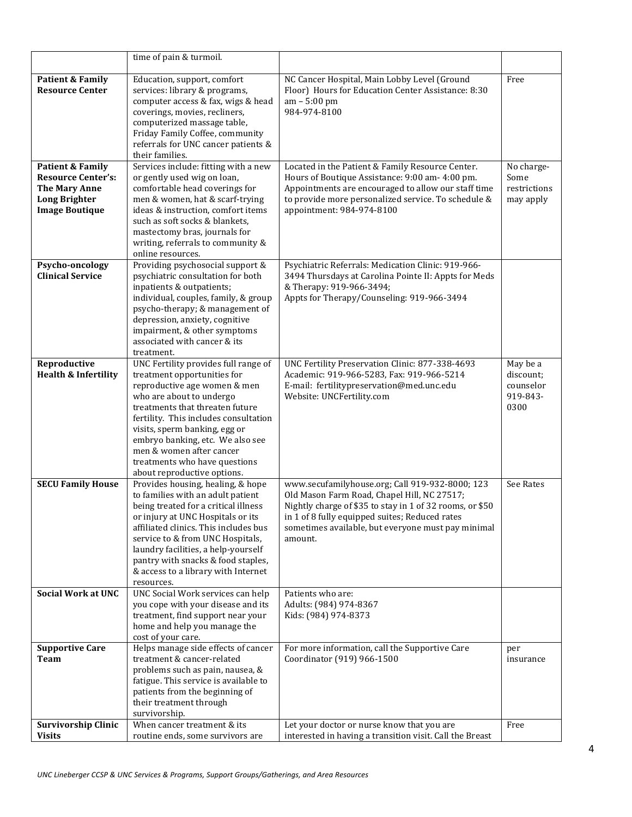|                                                                                                                                                                                                                                                                                                                                                                                                           | time of pain & turmoil.                                                                                                                                                                                                                                                                                                                                                      |                                                                                                                                                                                                                                                                    |                                                        |
|-----------------------------------------------------------------------------------------------------------------------------------------------------------------------------------------------------------------------------------------------------------------------------------------------------------------------------------------------------------------------------------------------------------|------------------------------------------------------------------------------------------------------------------------------------------------------------------------------------------------------------------------------------------------------------------------------------------------------------------------------------------------------------------------------|--------------------------------------------------------------------------------------------------------------------------------------------------------------------------------------------------------------------------------------------------------------------|--------------------------------------------------------|
| <b>Patient &amp; Family</b><br><b>Resource Center</b>                                                                                                                                                                                                                                                                                                                                                     | Education, support, comfort<br>services: library & programs,<br>computer access & fax, wigs & head<br>coverings, movies, recliners,<br>computerized massage table,<br>Friday Family Coffee, community<br>referrals for UNC cancer patients &<br>their families.                                                                                                              | NC Cancer Hospital, Main Lobby Level (Ground<br>Floor) Hours for Education Center Assistance: 8:30<br>am - 5:00 pm<br>984-974-8100                                                                                                                                 | Free                                                   |
| Patient & Family<br><b>Resource Center's:</b><br><b>The Mary Anne</b><br><b>Long Brighter</b><br><b>Image Boutique</b>                                                                                                                                                                                                                                                                                    | Services include: fitting with a new<br>or gently used wig on loan,<br>comfortable head coverings for<br>men & women, hat & scarf-trying<br>ideas & instruction, comfort items<br>such as soft socks & blankets,<br>mastectomy bras, journals for<br>writing, referrals to community &<br>online resources.                                                                  | Located in the Patient & Family Resource Center.<br>Hours of Boutique Assistance: 9:00 am- 4:00 pm.<br>Appointments are encouraged to allow our staff time<br>to provide more personalized service. To schedule &<br>appointment: 984-974-8100                     | No charge-<br>Some<br>restrictions<br>may apply        |
| Psycho-oncology<br><b>Clinical Service</b>                                                                                                                                                                                                                                                                                                                                                                | Providing psychosocial support &<br>psychiatric consultation for both<br>inpatients & outpatients;<br>individual, couples, family, & group<br>psycho-therapy; & management of<br>depression, anxiety, cognitive<br>impairment, & other symptoms<br>associated with cancer & its<br>treatment.                                                                                | Psychiatric Referrals: Medication Clinic: 919-966-<br>3494 Thursdays at Carolina Pointe II: Appts for Meds<br>& Therapy: 919-966-3494;<br>Appts for Therapy/Counseling: 919-966-3494                                                                               |                                                        |
| Reproductive<br><b>Health &amp; Infertility</b>                                                                                                                                                                                                                                                                                                                                                           | UNC Fertility provides full range of<br>treatment opportunities for<br>reproductive age women & men<br>who are about to undergo<br>treatments that threaten future<br>fertility. This includes consultation<br>visits, sperm banking, egg or<br>embryo banking, etc. We also see<br>men & women after cancer<br>treatments who have questions<br>about reproductive options. | UNC Fertility Preservation Clinic: 877-338-4693<br>Academic: 919-966-5283, Fax: 919-966-5214<br>E-mail: fertilitypreservation@med.unc.edu<br>Website: UNCFertility.com                                                                                             | May be a<br>discount;<br>counselor<br>919-843-<br>0300 |
| <b>SECU Family House</b><br>Provides housing, healing, & hope<br>to families with an adult patient<br>being treated for a critical illness<br>or injury at UNC Hospitals or its<br>affiliated clinics. This includes bus<br>service to & from UNC Hospitals,<br>amount.<br>laundry facilities, a help-yourself<br>pantry with snacks & food staples,<br>& access to a library with Internet<br>resources. |                                                                                                                                                                                                                                                                                                                                                                              | www.secufamilyhouse.org; Call 919-932-8000; 123<br>Old Mason Farm Road, Chapel Hill, NC 27517;<br>Nightly charge of \$35 to stay in 1 of 32 rooms, or \$50<br>in 1 of 8 fully equipped suites; Reduced rates<br>sometimes available, but everyone must pay minimal | See Rates                                              |
| <b>Social Work at UNC</b>                                                                                                                                                                                                                                                                                                                                                                                 | UNC Social Work services can help<br>you cope with your disease and its<br>treatment, find support near your<br>home and help you manage the<br>cost of your care.                                                                                                                                                                                                           | Patients who are:<br>Adults: (984) 974-8367<br>Kids: (984) 974-8373                                                                                                                                                                                                |                                                        |
| <b>Supportive Care</b><br>Team                                                                                                                                                                                                                                                                                                                                                                            | Helps manage side effects of cancer<br>treatment & cancer-related<br>problems such as pain, nausea, &<br>fatigue. This service is available to<br>patients from the beginning of<br>their treatment through<br>survivorship.                                                                                                                                                 | For more information, call the Supportive Care<br>Coordinator (919) 966-1500                                                                                                                                                                                       | per<br>insurance                                       |
| <b>Survivorship Clinic</b><br><b>Visits</b>                                                                                                                                                                                                                                                                                                                                                               | When cancer treatment & its<br>routine ends, some survivors are                                                                                                                                                                                                                                                                                                              | Let your doctor or nurse know that you are<br>interested in having a transition visit. Call the Breast                                                                                                                                                             | Free                                                   |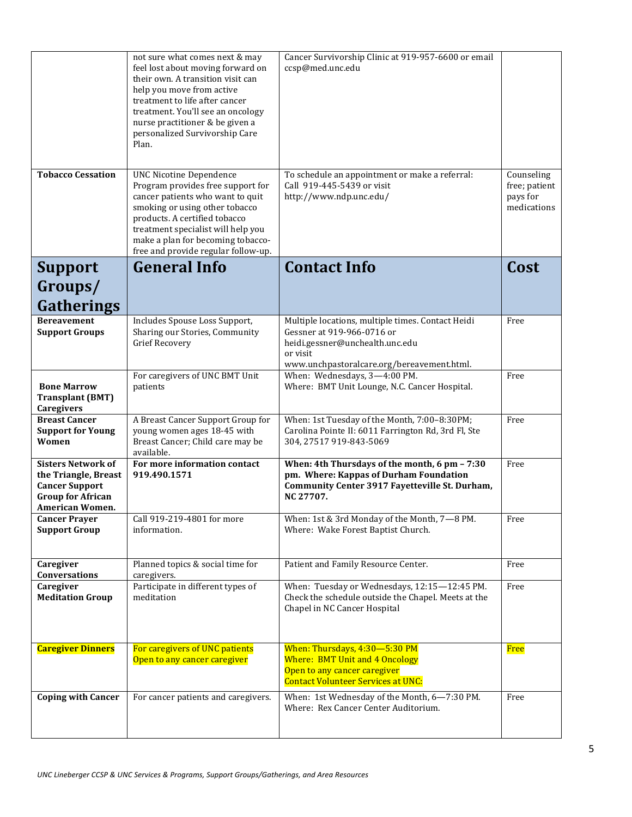|                                                                                                                                  | not sure what comes next & may<br>feel lost about moving forward on<br>their own. A transition visit can<br>help you move from active<br>treatment to life after cancer<br>treatment. You'll see an oncology<br>nurse practitioner & be given a<br>personalized Survivorship Care<br>Plan.   | Cancer Survivorship Clinic at 919-957-6600 or email<br>ccsp@med.unc.edu                                                                                                      |                                                        |
|----------------------------------------------------------------------------------------------------------------------------------|----------------------------------------------------------------------------------------------------------------------------------------------------------------------------------------------------------------------------------------------------------------------------------------------|------------------------------------------------------------------------------------------------------------------------------------------------------------------------------|--------------------------------------------------------|
| <b>Tobacco Cessation</b>                                                                                                         | <b>UNC Nicotine Dependence</b><br>Program provides free support for<br>cancer patients who want to quit<br>smoking or using other tobacco<br>products. A certified tobacco<br>treatment specialist will help you<br>make a plan for becoming tobacco-<br>free and provide regular follow-up. | To schedule an appointment or make a referral:<br>Call 919-445-5439 or visit<br>http://www.ndp.unc.edu/                                                                      | Counseling<br>free; patient<br>pays for<br>medications |
| <b>Support</b>                                                                                                                   | <b>General Info</b>                                                                                                                                                                                                                                                                          | <b>Contact Info</b>                                                                                                                                                          | Cost                                                   |
| Groups/<br>Gatherings                                                                                                            |                                                                                                                                                                                                                                                                                              |                                                                                                                                                                              |                                                        |
| <b>Bereavement</b><br><b>Support Groups</b>                                                                                      | Includes Spouse Loss Support,<br>Sharing our Stories, Community<br><b>Grief Recovery</b>                                                                                                                                                                                                     | Multiple locations, multiple times. Contact Heidi<br>Gessner at 919-966-0716 or<br>heidi.gessner@unchealth.unc.edu<br>or visit<br>www.unchpastoralcare.org/bereavement.html. | Free                                                   |
| <b>Bone Marrow</b><br><b>Transplant (BMT)</b><br>Caregivers                                                                      | For caregivers of UNC BMT Unit<br>patients                                                                                                                                                                                                                                                   | When: Wednesdays, 3-4:00 PM.<br>Where: BMT Unit Lounge, N.C. Cancer Hospital.                                                                                                | Free                                                   |
| <b>Breast Cancer</b><br><b>Support for Young</b><br>Women                                                                        | A Breast Cancer Support Group for<br>young women ages 18-45 with<br>Breast Cancer; Child care may be<br>available.                                                                                                                                                                           | When: 1st Tuesday of the Month, 7:00-8:30PM;<br>Carolina Pointe II: 6011 Farrington Rd, 3rd Fl, Ste<br>304, 27517 919-843-5069                                               | Free                                                   |
| <b>Sisters Network of</b><br>the Triangle, Breast<br><b>Cancer Support</b><br><b>Group for African</b><br><b>American Women.</b> | For more information contact<br>919.490.1571                                                                                                                                                                                                                                                 | When: 4th Thursdays of the month, 6 pm - 7:30<br>pm. Where: Kappas of Durham Foundation<br>Community Center 3917 Fayetteville St. Durham,<br>NC 27707.                       | Free                                                   |
| <b>Cancer Prayer</b><br><b>Support Group</b>                                                                                     | Call 919-219-4801 for more<br>information.                                                                                                                                                                                                                                                   | When: 1st & 3rd Monday of the Month, 7-8 PM.<br>Where: Wake Forest Baptist Church.                                                                                           | Free                                                   |
| Caregiver<br>Conversations                                                                                                       | Planned topics & social time for<br>caregivers.                                                                                                                                                                                                                                              | Patient and Family Resource Center.                                                                                                                                          | Free                                                   |
| Caregiver<br><b>Meditation Group</b>                                                                                             | Participate in different types of<br>meditation                                                                                                                                                                                                                                              | When: Tuesday or Wednesdays, 12:15-12:45 PM.<br>Check the schedule outside the Chapel. Meets at the<br>Chapel in NC Cancer Hospital                                          | Free                                                   |
| <b>Caregiver Dinners</b>                                                                                                         | For caregivers of UNC patients<br>Open to any cancer caregiver                                                                                                                                                                                                                               | When: Thursdays, 4:30-5:30 PM<br><b>Where: BMT Unit and 4 Oncology</b><br>Open to any cancer caregiver<br><b>Contact Volunteer Services at UNC:</b>                          | Free                                                   |
| <b>Coping with Cancer</b>                                                                                                        | For cancer patients and caregivers.                                                                                                                                                                                                                                                          | When: 1st Wednesday of the Month, 6-7:30 PM.<br>Where: Rex Cancer Center Auditorium.                                                                                         | Free                                                   |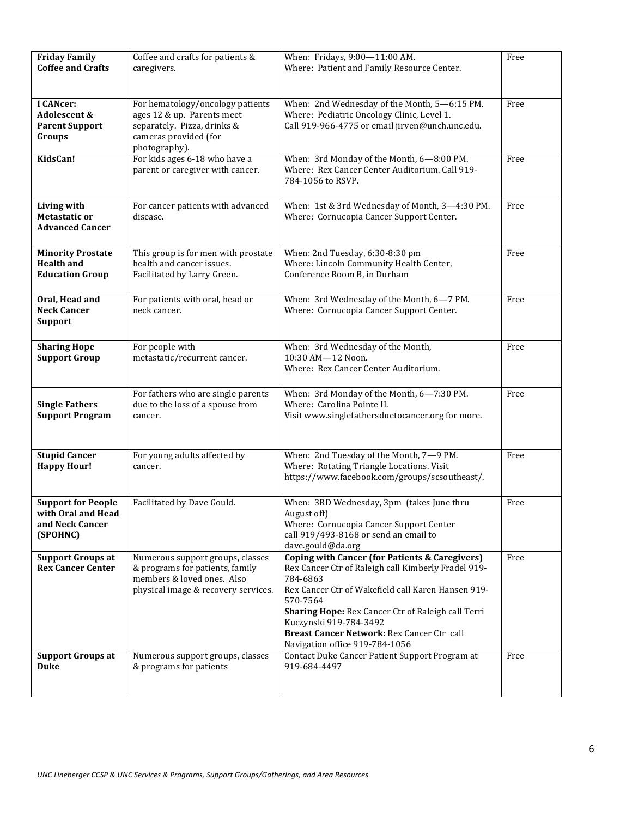| <b>Friday Family</b><br><b>Coffee and Crafts</b>                               | Coffee and crafts for patients &<br>caregivers.                                                                                          | When: Fridays, 9:00-11:00 AM.<br>Where: Patient and Family Resource Center.                                                                                                                                                                                                                                                                                    | Free |
|--------------------------------------------------------------------------------|------------------------------------------------------------------------------------------------------------------------------------------|----------------------------------------------------------------------------------------------------------------------------------------------------------------------------------------------------------------------------------------------------------------------------------------------------------------------------------------------------------------|------|
| <b>I CANcer:</b><br>Adolescent &<br><b>Parent Support</b><br>Groups            | For hematology/oncology patients<br>ages 12 & up. Parents meet<br>separately. Pizza, drinks &<br>cameras provided (for<br>photography).  | When: 2nd Wednesday of the Month, 5-6:15 PM.<br>Where: Pediatric Oncology Clinic, Level 1.<br>Call 919-966-4775 or email jirven@unch.unc.edu.                                                                                                                                                                                                                  | Free |
| KidsCan!                                                                       | For kids ages 6-18 who have a<br>parent or caregiver with cancer.                                                                        | When: 3rd Monday of the Month, 6-8:00 PM.<br>Where: Rex Cancer Center Auditorium. Call 919-<br>784-1056 to RSVP.                                                                                                                                                                                                                                               | Free |
| Living with<br><b>Metastatic or</b><br><b>Advanced Cancer</b>                  | For cancer patients with advanced<br>disease.                                                                                            | When: 1st & 3rd Wednesday of Month, 3-4:30 PM.<br>Where: Cornucopia Cancer Support Center.                                                                                                                                                                                                                                                                     | Free |
| <b>Minority Prostate</b><br><b>Health and</b><br><b>Education Group</b>        | This group is for men with prostate<br>health and cancer issues.<br>Facilitated by Larry Green.                                          | When: 2nd Tuesday, 6:30-8:30 pm<br>Where: Lincoln Community Health Center,<br>Conference Room B, in Durham                                                                                                                                                                                                                                                     | Free |
| Oral, Head and<br><b>Neck Cancer</b><br><b>Support</b>                         | For patients with oral, head or<br>neck cancer.                                                                                          | When: 3rd Wednesday of the Month, 6-7 PM.<br>Where: Cornucopia Cancer Support Center.                                                                                                                                                                                                                                                                          | Free |
| <b>Sharing Hope</b><br><b>Support Group</b>                                    | For people with<br>metastatic/recurrent cancer.                                                                                          | When: 3rd Wednesday of the Month,<br>10:30 AM-12 Noon.<br>Where: Rex Cancer Center Auditorium.                                                                                                                                                                                                                                                                 | Free |
| <b>Single Fathers</b><br><b>Support Program</b>                                | For fathers who are single parents<br>due to the loss of a spouse from<br>cancer.                                                        | When: 3rd Monday of the Month, 6-7:30 PM.<br>Where: Carolina Pointe II.<br>Visit www.singlefathersduetocancer.org for more.                                                                                                                                                                                                                                    | Free |
| <b>Stupid Cancer</b><br><b>Happy Hour!</b>                                     | For young adults affected by<br>cancer.                                                                                                  | When: 2nd Tuesday of the Month, 7-9 PM.<br>Where: Rotating Triangle Locations. Visit<br>https://www.facebook.com/groups/scsoutheast/.                                                                                                                                                                                                                          | Free |
| <b>Support for People</b><br>with Oral and Head<br>and Neck Cancer<br>(SPOHNC) | Facilitated by Dave Gould.                                                                                                               | When: 3RD Wednesday, 3pm (takes June thru<br>August off)<br>Where: Cornucopia Cancer Support Center<br>call 919/493-8168 or send an email to<br>dave.gould@da.org                                                                                                                                                                                              | Free |
| <b>Support Groups at</b><br><b>Rex Cancer Center</b>                           | Numerous support groups, classes<br>& programs for patients, family<br>members & loved ones. Also<br>physical image & recovery services. | <b>Coping with Cancer (for Patients &amp; Caregivers)</b><br>Rex Cancer Ctr of Raleigh call Kimberly Fradel 919-<br>784-6863<br>Rex Cancer Ctr of Wakefield call Karen Hansen 919-<br>570-7564<br>Sharing Hope: Rex Cancer Ctr of Raleigh call Terri<br>Kuczynski 919-784-3492<br>Breast Cancer Network: Rex Cancer Ctr call<br>Navigation office 919-784-1056 | Free |
| <b>Support Groups at</b><br><b>Duke</b>                                        | Numerous support groups, classes<br>& programs for patients                                                                              | Contact Duke Cancer Patient Support Program at<br>919-684-4497                                                                                                                                                                                                                                                                                                 | Free |
|                                                                                |                                                                                                                                          |                                                                                                                                                                                                                                                                                                                                                                |      |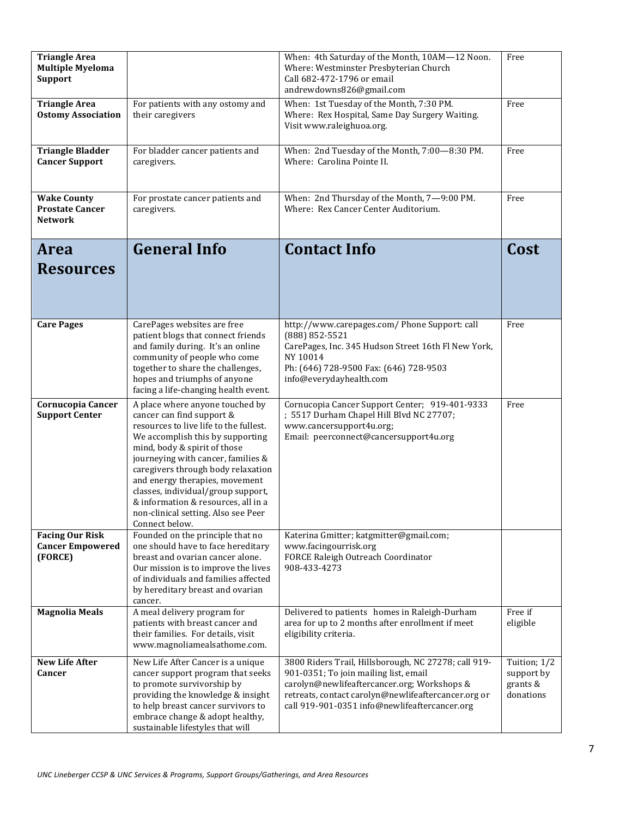| <b>Triangle Area</b><br><b>Multiple Myeloma</b><br><b>Support</b> |                                                                                                                                                                                                                                                                                                                                                                                                                                | When: 4th Saturday of the Month, 10AM-12 Noon.<br>Where: Westminster Presbyterian Church<br>Call 682-472-1796 or email<br>andrewdowns826@gmail.com                                                                                                   | Free                                                |
|-------------------------------------------------------------------|--------------------------------------------------------------------------------------------------------------------------------------------------------------------------------------------------------------------------------------------------------------------------------------------------------------------------------------------------------------------------------------------------------------------------------|------------------------------------------------------------------------------------------------------------------------------------------------------------------------------------------------------------------------------------------------------|-----------------------------------------------------|
| <b>Triangle Area</b><br><b>Ostomy Association</b>                 | For patients with any ostomy and<br>their caregivers                                                                                                                                                                                                                                                                                                                                                                           | When: 1st Tuesday of the Month, 7:30 PM.<br>Where: Rex Hospital, Same Day Surgery Waiting.<br>Visit www.raleighuoa.org.                                                                                                                              | Free                                                |
| <b>Triangle Bladder</b><br><b>Cancer Support</b>                  | For bladder cancer patients and<br>caregivers.                                                                                                                                                                                                                                                                                                                                                                                 | When: 2nd Tuesday of the Month, 7:00-8:30 PM.<br>Where: Carolina Pointe II.                                                                                                                                                                          | Free                                                |
| <b>Wake County</b><br><b>Prostate Cancer</b><br><b>Network</b>    | For prostate cancer patients and<br>caregivers.                                                                                                                                                                                                                                                                                                                                                                                | When: 2nd Thursday of the Month, 7-9:00 PM.<br>Where: Rex Cancer Center Auditorium.                                                                                                                                                                  | Free                                                |
| <b>Area</b><br><b>Resources</b>                                   | <b>General Info</b>                                                                                                                                                                                                                                                                                                                                                                                                            | <b>Contact Info</b>                                                                                                                                                                                                                                  | Cost                                                |
| <b>Care Pages</b>                                                 | CarePages websites are free<br>patient blogs that connect friends<br>and family during. It's an online<br>community of people who come<br>together to share the challenges,<br>hopes and triumphs of anyone<br>facing a life-changing health event.                                                                                                                                                                            | http://www.carepages.com/ Phone Support: call<br>(888) 852-5521<br>CarePages, Inc. 345 Hudson Street 16th Fl New York,<br>NY 10014<br>Ph: (646) 728-9500 Fax: (646) 728-9503<br>info@everydayhealth.com                                              | Free                                                |
| Cornucopia Cancer<br><b>Support Center</b>                        | A place where anyone touched by<br>cancer can find support &<br>resources to live life to the fullest.<br>We accomplish this by supporting<br>mind, body & spirit of those<br>journeying with cancer, families &<br>caregivers through body relaxation<br>and energy therapies, movement<br>classes, individual/group support,<br>& information & resources, all in a<br>non-clinical setting. Also see Peer<br>Connect below. | Cornucopia Cancer Support Center; 919-401-9333<br>; 5517 Durham Chapel Hill Blvd NC 27707;<br>www.cancersupport4u.org;<br>Email: peerconnect@cancersupport4u.org                                                                                     | Free                                                |
| <b>Facing Our Risk</b><br><b>Cancer Empowered</b><br>(FORCE)      | Founded on the principle that no<br>one should have to face hereditary<br>breast and ovarian cancer alone.<br>Our mission is to improve the lives<br>of individuals and families affected<br>by hereditary breast and ovarian<br>cancer.                                                                                                                                                                                       | Katerina Gmitter; katgmitter@gmail.com;<br>www.facingourrisk.org<br>FORCE Raleigh Outreach Coordinator<br>908-433-4273                                                                                                                               |                                                     |
| <b>Magnolia Meals</b>                                             | A meal delivery program for<br>patients with breast cancer and<br>their families. For details, visit<br>www.magnoliamealsathome.com.                                                                                                                                                                                                                                                                                           | Delivered to patients homes in Raleigh-Durham<br>area for up to 2 months after enrollment if meet<br>eligibility criteria.                                                                                                                           | Free if<br>eligible                                 |
| <b>New Life After</b><br>Cancer                                   | New Life After Cancer is a unique<br>cancer support program that seeks<br>to promote survivorship by<br>providing the knowledge & insight<br>to help breast cancer survivors to<br>embrace change & adopt healthy,<br>sustainable lifestyles that will                                                                                                                                                                         | 3800 Riders Trail, Hillsborough, NC 27278; call 919-<br>901-0351; To join mailing list, email<br>carolyn@newlifeaftercancer.org; Workshops &<br>retreats, contact carolyn@newlifeaftercancer.org or<br>call 919-901-0351 info@newlifeaftercancer.org | Tuition; 1/2<br>support by<br>grants &<br>donations |